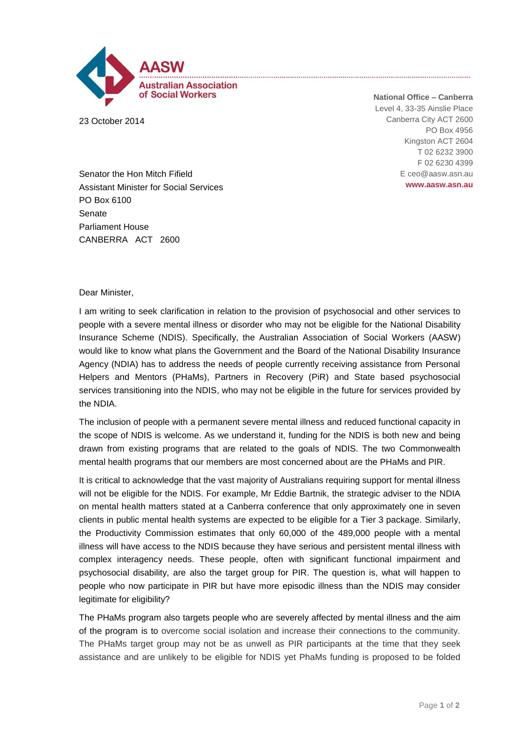

23 October 2014

**National Office – Canberra** Level 4, 33-35 Ainslie Place Canberra City ACT 2600 PO Box 4956 Kingston ACT 2604 T 02 6232 3900 F 02 6230 4399 E ceo@aasw.asn.au **www.aasw.asn.au**

Senator the Hon Mitch Fifield Assistant Minister for Social Services PO Box 6100 Senate Parliament House CANBERRA ACT 2600

## Dear Minister,

I am writing to seek clarification in relation to the provision of psychosocial and other services to people with a severe mental illness or disorder who may not be eligible for the National Disability Insurance Scheme (NDIS). Specifically, the Australian Association of Social Workers (AASW) would like to know what plans the Government and the Board of the National Disability Insurance Agency (NDIA) has to address the needs of people currently receiving assistance from Personal Helpers and Mentors (PHaMs), Partners in Recovery (PiR) and State based psychosocial services transitioning into the NDIS, who may not be eligible in the future for services provided by the NDIA.

The inclusion of people with a permanent severe mental illness and reduced functional capacity in the scope of NDIS is welcome. As we understand it, funding for the NDIS is both new and being drawn from existing programs that are related to the goals of NDIS. The two Commonwealth mental health programs that our members are most concerned about are the PHaMs and PIR.

It is critical to acknowledge that the vast majority of Australians requiring support for mental illness will not be eligible for the NDIS. For example, Mr Eddie Bartnik, the strategic adviser to the NDIA on mental health matters stated at a Canberra conference that only approximately one in seven clients in public mental health systems are expected to be eligible for a Tier 3 package. Similarly, the Productivity Commission estimates that only 60,000 of the 489,000 people with a mental illness will have access to the NDIS because they have serious and persistent mental illness with complex interagency needs. These people, often with significant functional impairment and psychosocial disability, are also the target group for PIR. The question is, what will happen to people who now participate in PIR but have more episodic illness than the NDIS may consider legitimate for eligibility?

The PHaMs program also targets people who are severely affected by mental illness and the aim of the program is to overcome social isolation and increase their connections to the community. The PHaMs target group may not be as unwell as PIR participants at the time that they seek assistance and are unlikely to be eligible for NDIS yet PhaMs funding is proposed to be folded